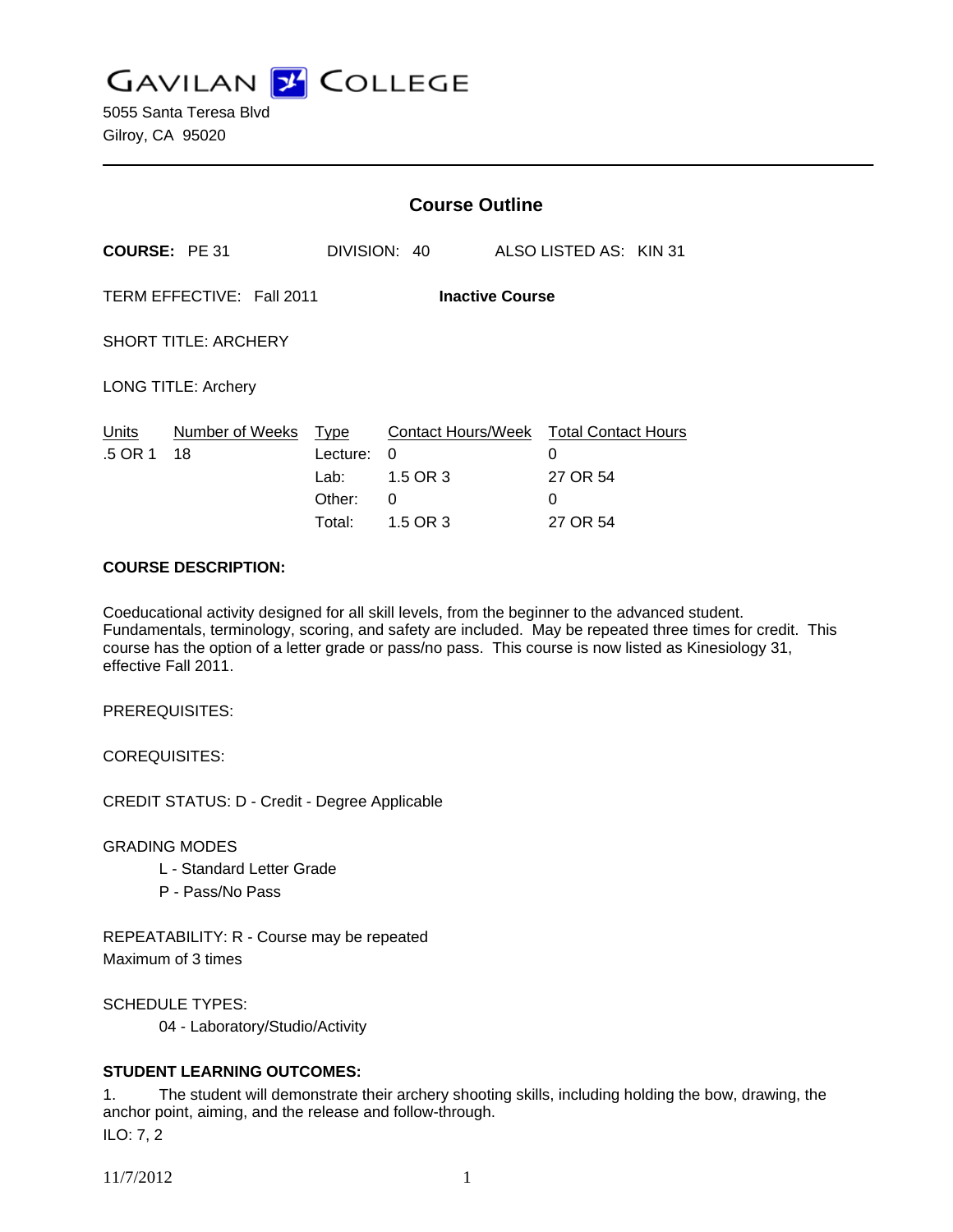**GAVILAN J COLLEGE** 

5055 Santa Teresa Blvd Gilroy, CA 95020

|                                                     |                       | <b>Course Outline</b>                               |                                                      |  |                                                              |  |
|-----------------------------------------------------|-----------------------|-----------------------------------------------------|------------------------------------------------------|--|--------------------------------------------------------------|--|
| <b>COURSE: PE 31</b>                                |                       |                                                     | DIVISION: 40                                         |  | ALSO LISTED AS: KIN 31                                       |  |
| TERM EFFECTIVE: Fall 2011<br><b>Inactive Course</b> |                       |                                                     |                                                      |  |                                                              |  |
| <b>SHORT TITLE: ARCHERY</b>                         |                       |                                                     |                                                      |  |                                                              |  |
| <b>LONG TITLE: Archery</b>                          |                       |                                                     |                                                      |  |                                                              |  |
| Units<br>.5 OR 1                                    | Number of Weeks<br>18 | <b>Type</b><br>Lecture:<br>Lab:<br>Other:<br>Total: | Contact Hours/Week<br>0<br>1.5 OR 3<br>0<br>1.5 OR 3 |  | <b>Total Contact Hours</b><br>0<br>27 OR 54<br>0<br>27 OR 54 |  |

#### **COURSE DESCRIPTION:**

Coeducational activity designed for all skill levels, from the beginner to the advanced student. Fundamentals, terminology, scoring, and safety are included. May be repeated three times for credit. This course has the option of a letter grade or pass/no pass. This course is now listed as Kinesiology 31, effective Fall 2011.

PREREQUISITES:

COREQUISITES:

CREDIT STATUS: D - Credit - Degree Applicable

GRADING MODES

- L Standard Letter Grade
- P Pass/No Pass

REPEATABILITY: R - Course may be repeated Maximum of 3 times

SCHEDULE TYPES:

04 - Laboratory/Studio/Activity

## **STUDENT LEARNING OUTCOMES:**

1. The student will demonstrate their archery shooting skills, including holding the bow, drawing, the anchor point, aiming, and the release and follow-through. ILO: 7, 2

11/7/2012 1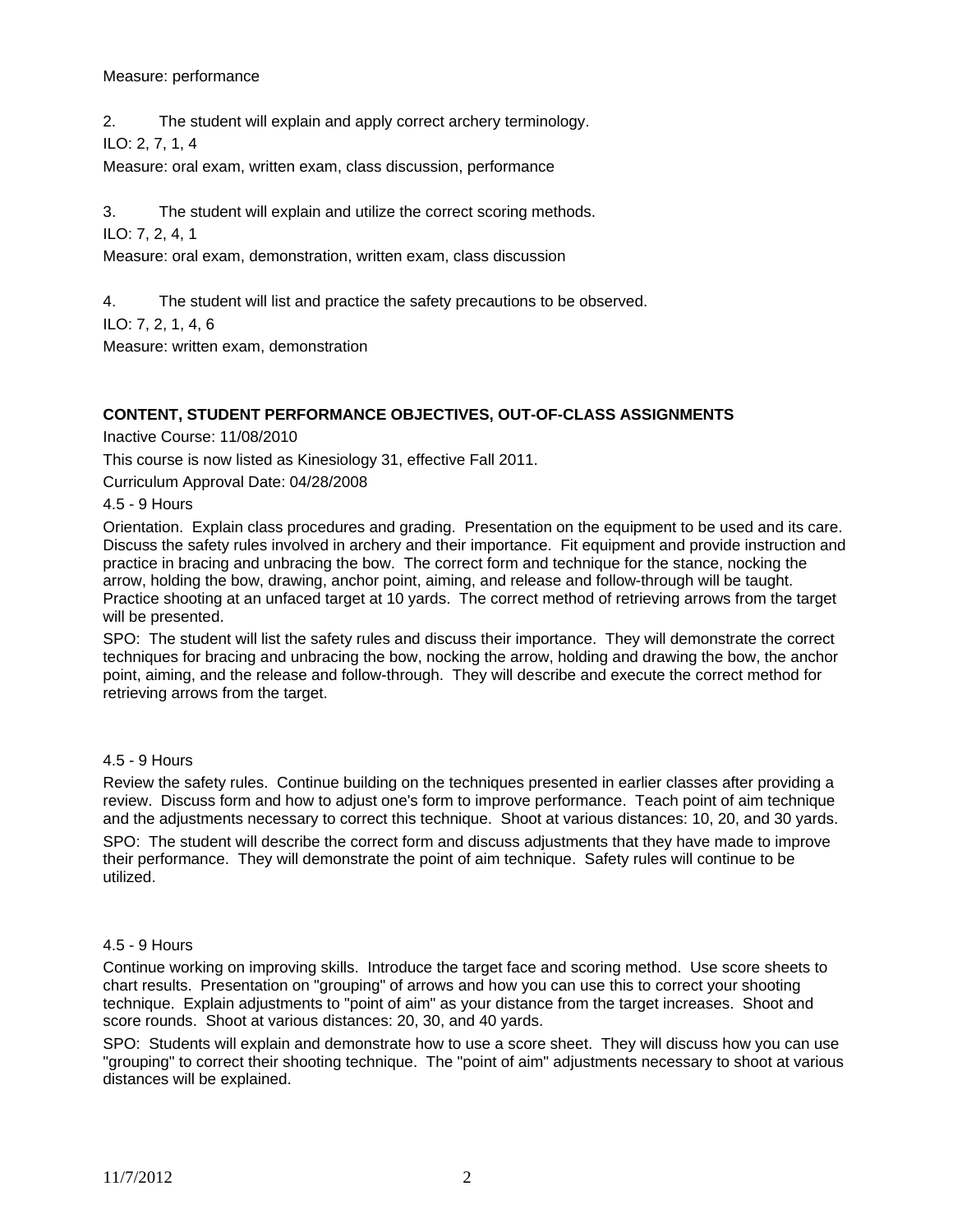#### Measure: performance

2. The student will explain and apply correct archery terminology.

ILO: 2, 7, 1, 4

Measure: oral exam, written exam, class discussion, performance

3. The student will explain and utilize the correct scoring methods.

ILO: 7, 2, 4, 1

Measure: oral exam, demonstration, written exam, class discussion

4. The student will list and practice the safety precautions to be observed.

ILO: 7, 2, 1, 4, 6

Measure: written exam, demonstration

## **CONTENT, STUDENT PERFORMANCE OBJECTIVES, OUT-OF-CLASS ASSIGNMENTS**

Inactive Course: 11/08/2010

This course is now listed as Kinesiology 31, effective Fall 2011.

Curriculum Approval Date: 04/28/2008

4.5 - 9 Hours

Orientation. Explain class procedures and grading. Presentation on the equipment to be used and its care. Discuss the safety rules involved in archery and their importance. Fit equipment and provide instruction and practice in bracing and unbracing the bow. The correct form and technique for the stance, nocking the arrow, holding the bow, drawing, anchor point, aiming, and release and follow-through will be taught. Practice shooting at an unfaced target at 10 yards. The correct method of retrieving arrows from the target will be presented.

SPO: The student will list the safety rules and discuss their importance. They will demonstrate the correct techniques for bracing and unbracing the bow, nocking the arrow, holding and drawing the bow, the anchor point, aiming, and the release and follow-through. They will describe and execute the correct method for retrieving arrows from the target.

## 4.5 - 9 Hours

Review the safety rules. Continue building on the techniques presented in earlier classes after providing a review. Discuss form and how to adjust one's form to improve performance. Teach point of aim technique and the adjustments necessary to correct this technique. Shoot at various distances: 10, 20, and 30 yards. SPO: The student will describe the correct form and discuss adjustments that they have made to improve their performance. They will demonstrate the point of aim technique. Safety rules will continue to be utilized.

## 4.5 - 9 Hours

Continue working on improving skills. Introduce the target face and scoring method. Use score sheets to chart results. Presentation on "grouping" of arrows and how you can use this to correct your shooting technique. Explain adjustments to "point of aim" as your distance from the target increases. Shoot and score rounds. Shoot at various distances: 20, 30, and 40 yards.

SPO: Students will explain and demonstrate how to use a score sheet. They will discuss how you can use "grouping" to correct their shooting technique. The "point of aim" adjustments necessary to shoot at various distances will be explained.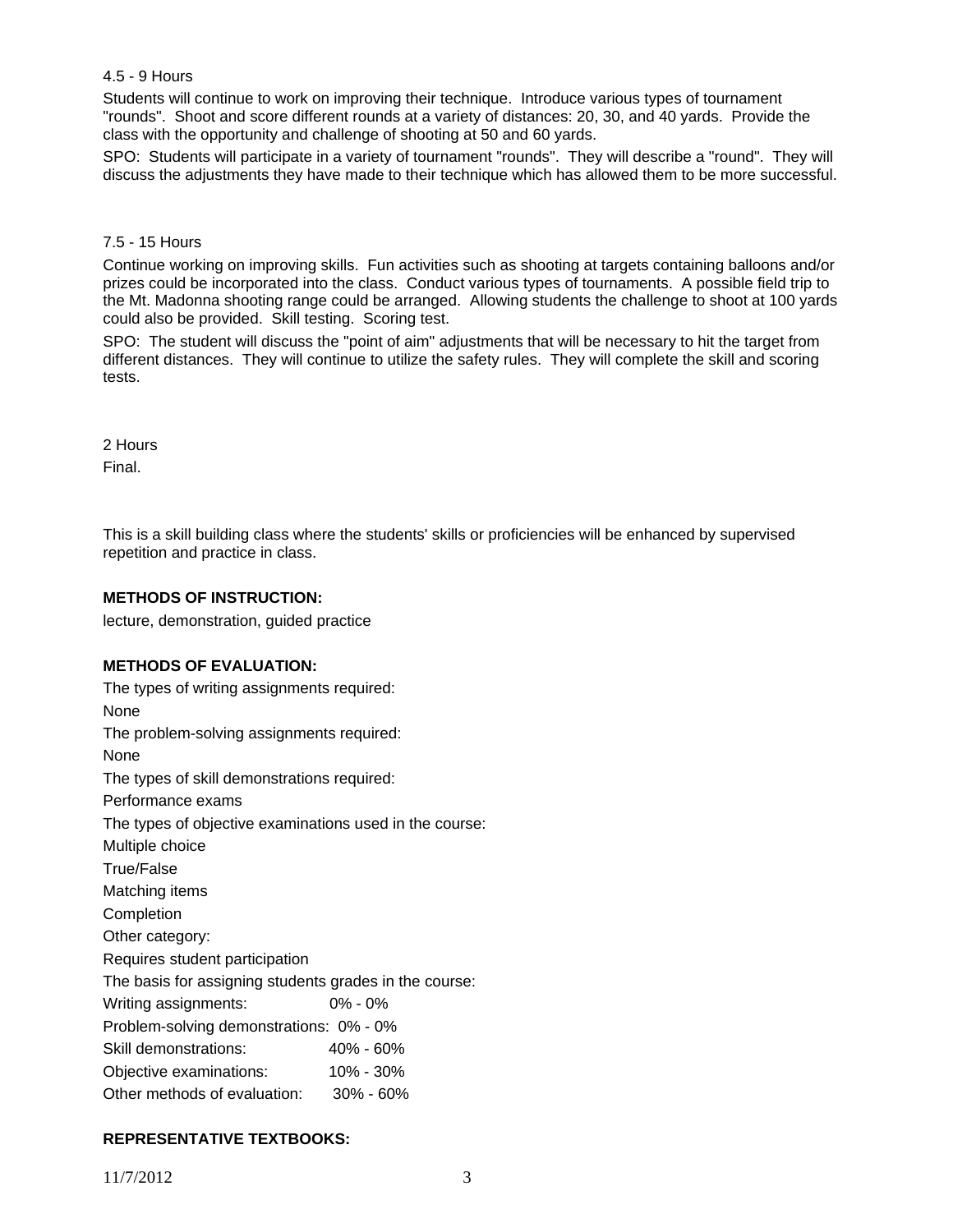## 4.5 - 9 Hours

Students will continue to work on improving their technique. Introduce various types of tournament "rounds". Shoot and score different rounds at a variety of distances: 20, 30, and 40 yards. Provide the class with the opportunity and challenge of shooting at 50 and 60 yards.

SPO: Students will participate in a variety of tournament "rounds". They will describe a "round". They will discuss the adjustments they have made to their technique which has allowed them to be more successful.

#### 7.5 - 15 Hours

Continue working on improving skills. Fun activities such as shooting at targets containing balloons and/or prizes could be incorporated into the class. Conduct various types of tournaments. A possible field trip to the Mt. Madonna shooting range could be arranged. Allowing students the challenge to shoot at 100 yards could also be provided. Skill testing. Scoring test.

SPO: The student will discuss the "point of aim" adjustments that will be necessary to hit the target from different distances. They will continue to utilize the safety rules. They will complete the skill and scoring tests.

2 Hours Final.

This is a skill building class where the students' skills or proficiencies will be enhanced by supervised repetition and practice in class.

#### **METHODS OF INSTRUCTION:**

lecture, demonstration, guided practice

#### **METHODS OF EVALUATION:**

The types of writing assignments required: None The problem-solving assignments required: None The types of skill demonstrations required: Performance exams The types of objective examinations used in the course: Multiple choice True/False Matching items Completion Other category: Requires student participation The basis for assigning students grades in the course: Writing assignments: 0% - 0% Problem-solving demonstrations: 0% - 0% Skill demonstrations: 40% - 60% Objective examinations: 10% - 30% Other methods of evaluation: 30% - 60%

## **REPRESENTATIVE TEXTBOOKS:**